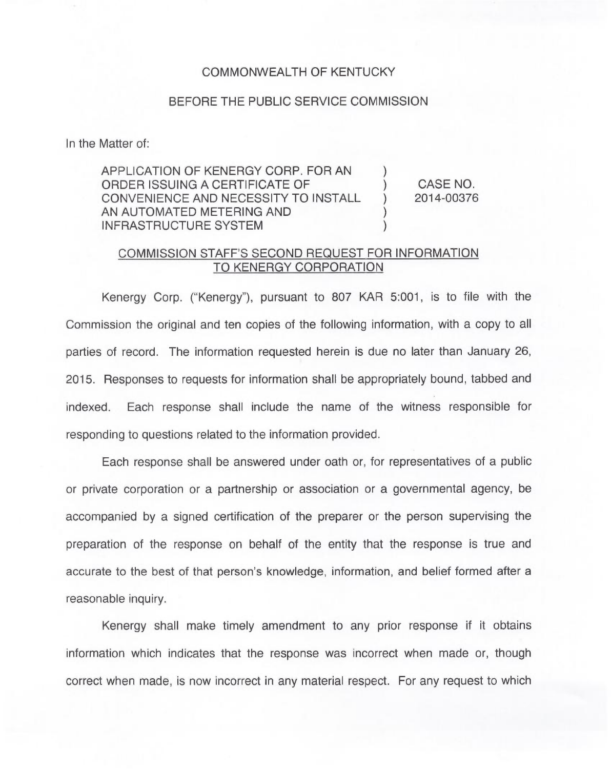## COMMONWEALTH OF KENTUCKY

## BEFORE THE PUBLIC SERVICE COMMISSION

In the Matter of:

APPLICATION OF KENERGY CORP. FOR AN ORDER ISSUING A CERTIFICATE OF CONVENIENCE AND NECESSITY TO INSTALL AN AUTOMATED METERING AND INFRASTRUCTURE SYSTEM ) ) CASE NO. ) 2014-00376 ) )

## COMMISSION STAFF'S SECOND REQUEST FOR INFORMATION TO KENERGY CORPORATION

Kenergy Corp. ("Kenergy"), pursuant to 807 KAR 5:001, is to file with the Commission the original and ten copies of the following information, with a copy to all parties of record. The information requested herein is due no later than January 26, 2015. Responses to requests for information shall be appropriately bound, tabbed and indexed. Each response shall include the name of the witness responsible for responding to questions related to the information provided.

Each response shall be answered under oath or, for representatives of a public or private corporation or a partnership or association or a governmental agency, be accompanied by a signed certification of the preparer or the person supervising the preparation of the response on behalf of the entity that the response is true and accurate to the best of that person's knowledge, information, and belief formed after a reasonable inquiry.

Kenergy shall make timely amendment to any prior response if it obtains information which indicates that the response was incorrect when made or, though correct when made, is now incorrect in any material respect. For any request to which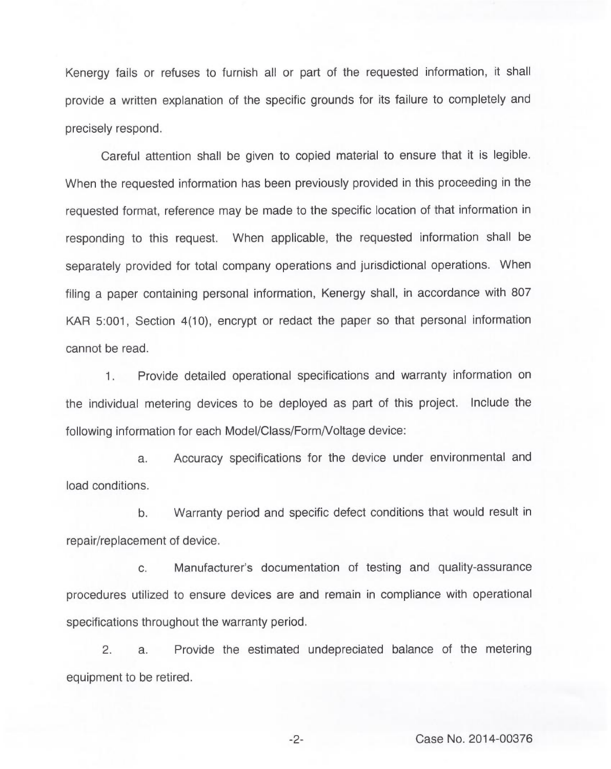Kenergy fails or refuses to furnish all or part of the requested information, it shall provide a written explanation of the specific grounds for its failure to completely and precisely respond.

Careful attention shall be given to copied material to ensure that it is legible. When the requested information has been previously provided in this proceeding in the requested format, reference may be made to the specific location of that information in responding to this request. When applicable, the requested information shall be separately provided for total company operations and jurisdictional operations. When filing a paper containing personal information, Kenergy shall, in accordance with 807 KAR 5:001, Section 4(10), encrypt or redact the paper so that personal information cannot be read.

1. Provide detailed operational specifications and warranty information on the individual metering devices to be deployed as part of this project. Include the following information for each Model/Class/Form/Voltage device:

a. Accuracy specifications for the device under environmental and load conditions.

b. Warranty period and specific defect conditions that would result in repair/replacement of device.

c. Manufacturer's documentation of testing and quality-assurance procedures utilized to ensure devices are and remain in compliance with operational specifications throughout the warranty period.

2. a. Provide the estimated undepreciated balance of the metering equipment to be retired.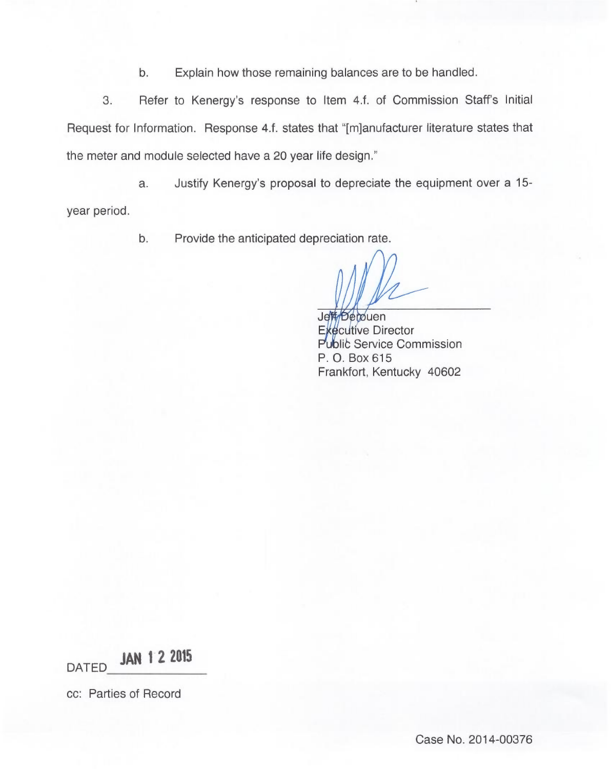b. Explain how those remaining balances are to be handled.

3. Refer to Kenergy's response to Item 4.f. of Commission Staff's Initial Request for Information. Response 4.f. states that "[m]anufacturer literature states that the meter and module selected have a 20 year life design."

a. Justify Kenergy's proposal to depreciate the equipment over a 15 year period.

b. Provide the anticipated depreciation rate.

Jett<sub>/Depouen</sub> Executive Director Public Service Commission P. O. Box 615 Frankfort, Kentucky 40602

DATED JAN 12 2015

cc: Parties of Record